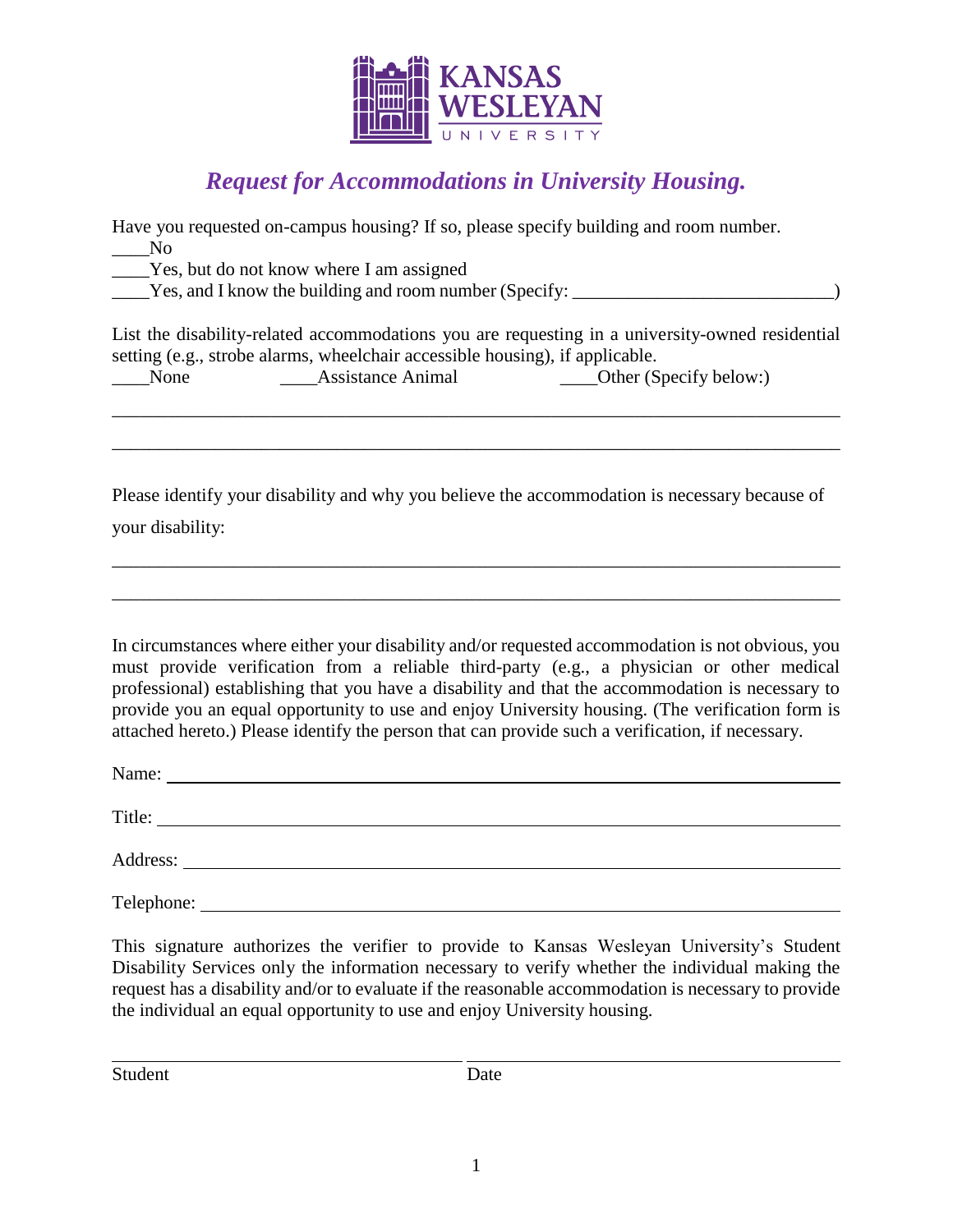

## *Request for Accommodations in University Housing.*

| Have you requested on-campus housing? If so, please specify building and room number.<br>$\mathbf{N}\mathbf{o}$<br>____Yes, but do not know where I am assigned<br>____Yes, and I know the building and room number (Specify: _____________________                                                                                                                                                                                                                                                      |
|----------------------------------------------------------------------------------------------------------------------------------------------------------------------------------------------------------------------------------------------------------------------------------------------------------------------------------------------------------------------------------------------------------------------------------------------------------------------------------------------------------|
| List the disability-related accommodations you are requesting in a university-owned residential<br>setting (e.g., strobe alarms, wheelchair accessible housing), if applicable.<br><b>Assistance Animal</b><br>Other (Specify below:)<br>None                                                                                                                                                                                                                                                            |
| Please identify your disability and why you believe the accommodation is necessary because of<br>your disability:                                                                                                                                                                                                                                                                                                                                                                                        |
| In circumstances where either your disability and/or requested accommodation is not obvious, you<br>must provide verification from a reliable third-party (e.g., a physician or other medical<br>professional) establishing that you have a disability and that the accommodation is necessary to<br>provide you an equal opportunity to use and enjoy University housing. (The verification form is<br>attached hereto.) Please identify the person that can provide such a verification, if necessary. |
| Name: Name and the state of the state of the state of the state of the state of the state of the state of the state of the state of the state of the state of the state of the state of the state of the state of the state of                                                                                                                                                                                                                                                                           |
|                                                                                                                                                                                                                                                                                                                                                                                                                                                                                                          |
|                                                                                                                                                                                                                                                                                                                                                                                                                                                                                                          |

Telephone:

This signature authorizes the verifier to provide to Kansas Wesleyan University's Student Disability Services only the information necessary to verify whether the individual making the request has a disability and/or to evaluate if the reasonable accommodation is necessary to provide the individual an equal opportunity to use and enjoy University housing.

Student Date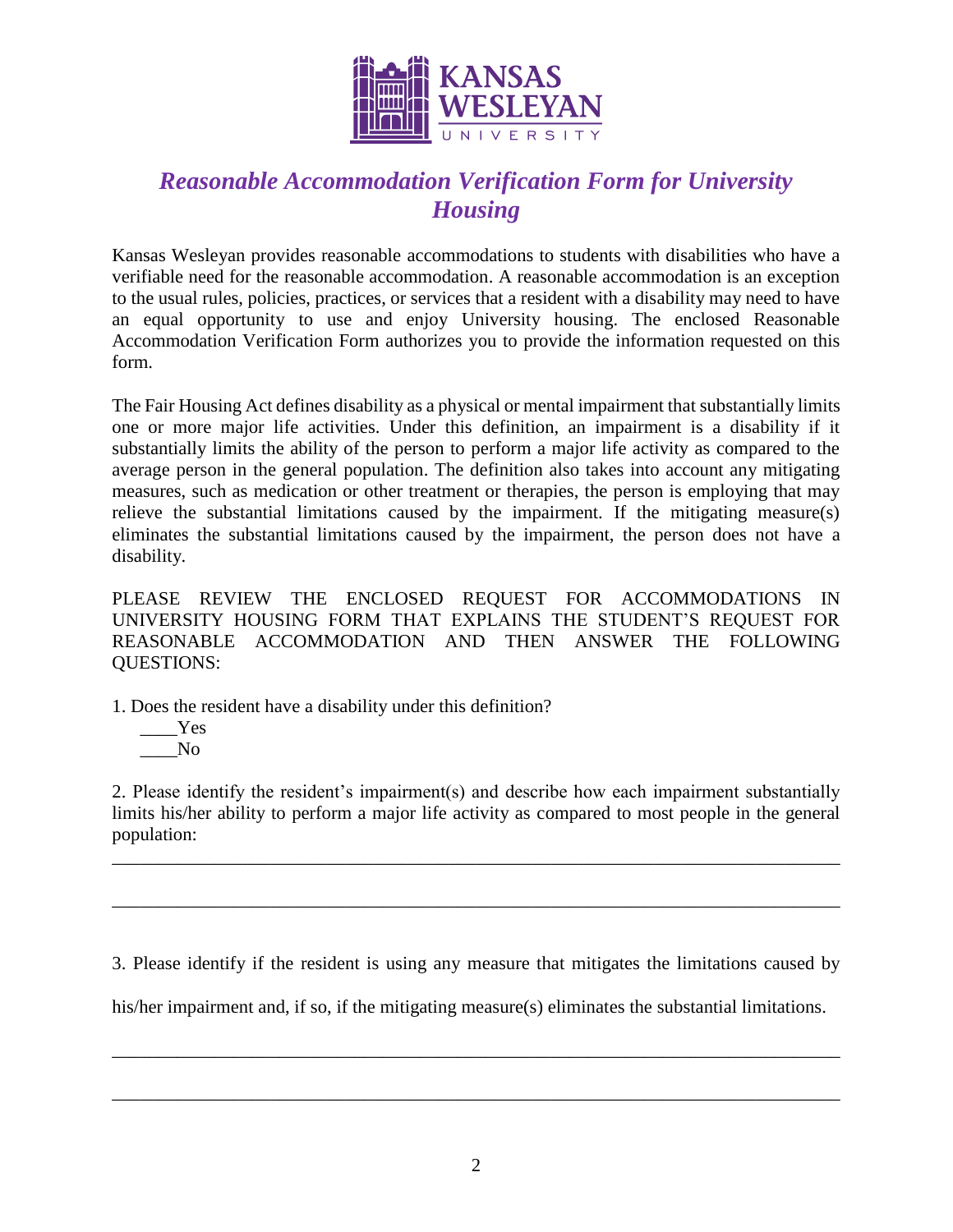

## *Reasonable Accommodation Verification Form for University Housing*

Kansas Wesleyan provides reasonable accommodations to students with disabilities who have a verifiable need for the reasonable accommodation. A reasonable accommodation is an exception to the usual rules, policies, practices, or services that a resident with a disability may need to have an equal opportunity to use and enjoy University housing. The enclosed Reasonable Accommodation Verification Form authorizes you to provide the information requested on this form.

The Fair Housing Act defines disability as a physical or mental impairment that substantially limits one or more major life activities. Under this definition, an impairment is a disability if it substantially limits the ability of the person to perform a major life activity as compared to the average person in the general population. The definition also takes into account any mitigating measures, such as medication or other treatment or therapies, the person is employing that may relieve the substantial limitations caused by the impairment. If the mitigating measure(s) eliminates the substantial limitations caused by the impairment, the person does not have a disability.

PLEASE REVIEW THE ENCLOSED REQUEST FOR ACCOMMODATIONS IN UNIVERSITY HOUSING FORM THAT EXPLAINS THE STUDENT'S REQUEST FOR REASONABLE ACCOMMODATION AND THEN ANSWER THE FOLLOWING QUESTIONS:

1. Does the resident have a disability under this definition?

\_\_\_\_Yes \_\_\_\_No

2. Please identify the resident's impairment(s) and describe how each impairment substantially limits his/her ability to perform a major life activity as compared to most people in the general population:

\_\_\_\_\_\_\_\_\_\_\_\_\_\_\_\_\_\_\_\_\_\_\_\_\_\_\_\_\_\_\_\_\_\_\_\_\_\_\_\_\_\_\_\_\_\_\_\_\_\_\_\_\_\_\_\_\_\_\_\_\_\_\_\_\_\_\_\_\_\_\_\_\_\_\_\_\_\_

\_\_\_\_\_\_\_\_\_\_\_\_\_\_\_\_\_\_\_\_\_\_\_\_\_\_\_\_\_\_\_\_\_\_\_\_\_\_\_\_\_\_\_\_\_\_\_\_\_\_\_\_\_\_\_\_\_\_\_\_\_\_\_\_\_\_\_\_\_\_\_\_\_\_\_\_\_\_

3. Please identify if the resident is using any measure that mitigates the limitations caused by

his/her impairment and, if so, if the mitigating measure(s) eliminates the substantial limitations.

\_\_\_\_\_\_\_\_\_\_\_\_\_\_\_\_\_\_\_\_\_\_\_\_\_\_\_\_\_\_\_\_\_\_\_\_\_\_\_\_\_\_\_\_\_\_\_\_\_\_\_\_\_\_\_\_\_\_\_\_\_\_\_\_\_\_\_\_\_\_\_\_\_\_\_\_\_\_

\_\_\_\_\_\_\_\_\_\_\_\_\_\_\_\_\_\_\_\_\_\_\_\_\_\_\_\_\_\_\_\_\_\_\_\_\_\_\_\_\_\_\_\_\_\_\_\_\_\_\_\_\_\_\_\_\_\_\_\_\_\_\_\_\_\_\_\_\_\_\_\_\_\_\_\_\_\_